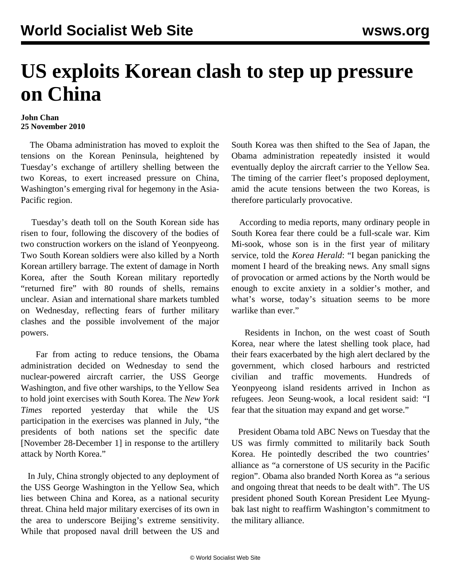## **US exploits Korean clash to step up pressure on China**

## **John Chan 25 November 2010**

 The Obama administration has moved to exploit the tensions on the Korean Peninsula, heightened by Tuesday's exchange of artillery shelling between the two Koreas, to exert increased pressure on China, Washington's emerging rival for hegemony in the Asia-Pacific region.

 Tuesday's death toll on the South Korean side has risen to four, following the discovery of the bodies of two construction workers on the island of Yeonpyeong. Two South Korean soldiers were also killed by a North Korean artillery barrage. The extent of damage in North Korea, after the South Korean military reportedly "returned fire" with 80 rounds of shells, remains unclear. Asian and international share markets tumbled on Wednesday, reflecting fears of further military clashes and the possible involvement of the major powers.

 Far from acting to reduce tensions, the Obama administration decided on Wednesday to send the nuclear-powered aircraft carrier, the USS George Washington, and five other warships, to the Yellow Sea to hold joint exercises with South Korea. The *New York Times* reported yesterday that while the US participation in the exercises was planned in July, "the presidents of both nations set the specific date [November 28-December 1] in response to the artillery attack by North Korea."

 In July, China strongly objected to any deployment of the USS George Washington in the Yellow Sea, which lies between China and Korea, as a national security threat. China held major military exercises of its own in the area to underscore Beijing's extreme sensitivity. While that proposed naval drill between the US and South Korea was then shifted to the Sea of Japan, the Obama administration repeatedly insisted it would eventually deploy the aircraft carrier to the Yellow Sea. The timing of the carrier fleet's proposed deployment, amid the acute tensions between the two Koreas, is therefore particularly provocative.

 According to media reports, many ordinary people in South Korea fear there could be a full-scale war. Kim Mi-sook, whose son is in the first year of military service, told the *Korea Herald*: "I began panicking the moment I heard of the breaking news. Any small signs of provocation or armed actions by the North would be enough to excite anxiety in a soldier's mother, and what's worse, today's situation seems to be more warlike than ever."

 Residents in Inchon, on the west coast of South Korea, near where the latest shelling took place, had their fears exacerbated by the high alert declared by the government, which closed harbours and restricted civilian and traffic movements. Hundreds of Yeonpyeong island residents arrived in Inchon as refugees. Jeon Seung-wook, a local resident said: "I fear that the situation may expand and get worse."

 President Obama told ABC News on Tuesday that the US was firmly committed to militarily back South Korea. He pointedly described the two countries' alliance as "a cornerstone of US security in the Pacific region". Obama also branded North Korea as "a serious and ongoing threat that needs to be dealt with". The US president phoned South Korean President Lee Myungbak last night to reaffirm Washington's commitment to the military alliance.